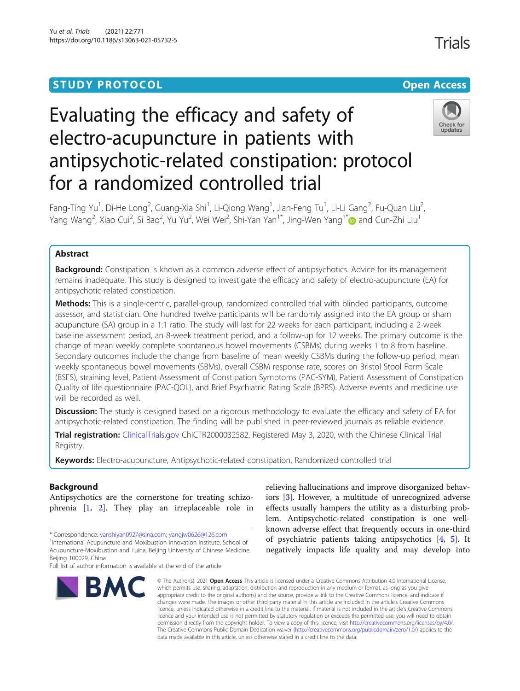# **STUDY PROTOCOL CONSUMING THE RESERVE ACCESS**



# Evaluating the efficacy and safety of electro-acupuncture in patients with antipsychotic-related constipation: protocol for a randomized controlled trial



<code>Fang-Ting</code> Yu $^1$ , Di-He <code>Long $^2$ , Guang-Xia Shi $^1$ , Li-Qiong Wang $^1$ , Jian-Feng Tu $^1$ , Li-Li Gang $^2$ , Fu-Quan Liu $^2$ </code> , Yang Wang<sup>2</sup>, Xiao Cui<sup>2</sup>, Si Bao<sup>2</sup>, Yu Yu<sup>2</sup>, Wei Wei<sup>2</sup>, Shi-Yan Yan<sup>1[\\*](http://orcid.org/0000-0002-7031-3446)</sup>, Jing-Wen Yang<sup>1\*</sup>៊⊕ and Cun-Zhi Liu<sup>1</sup>

# Abstract

**Background:** Constipation is known as a common adverse effect of antipsychotics. Advice for its management remains inadequate. This study is designed to investigate the efficacy and safety of electro-acupuncture (EA) for antipsychotic-related constipation.

Methods: This is a single-centric, parallel-group, randomized controlled trial with blinded participants, outcome assessor, and statistician. One hundred twelve participants will be randomly assigned into the EA group or sham acupuncture (SA) group in a 1:1 ratio. The study will last for 22 weeks for each participant, including a 2-week baseline assessment period, an 8-week treatment period, and a follow-up for 12 weeks. The primary outcome is the change of mean weekly complete spontaneous bowel movements (CSBMs) during weeks 1 to 8 from baseline. Secondary outcomes include the change from baseline of mean weekly CSBMs during the follow-up period, mean weekly spontaneous bowel movements (SBMs), overall CSBM response rate, scores on Bristol Stool Form Scale (BSFS), straining level, Patient Assessment of Constipation Symptoms (PAC-SYM), Patient Assessment of Constipation Quality of life questionnaire (PAC-QOL), and Brief Psychiatric Rating Scale (BPRS). Adverse events and medicine use will be recorded as well.

**Discussion:** The study is designed based on a rigorous methodology to evaluate the efficacy and safety of EA for antipsychotic-related constipation. The finding will be published in peer-reviewed journals as reliable evidence.

Trial registration: [ClinicalTrials.gov](http://clinicaltrials.gov) ChiCTR2000032582. Registered May 3, 2020, with the Chinese Clinical Trial Registry.

Keywords: Electro-acupuncture, Antipsychotic-related constipation, Randomized controlled trial

# Background

Antipsychotics are the cornerstone for treating schizophrenia [\[1](#page-7-0), [2\]](#page-8-0). They play an irreplaceable role in

\* Correspondence: [yanshiyan0927@sina.com](mailto:yanshiyan0927@sina.com); [yangjw0626@126.com](mailto:yangjw0626@126.com) <sup>1</sup>

<sup>1</sup>International Acupuncture and Moxibustion Innovation Institute, School of Acupuncture-Moxibustion and Tuina, Beijing University of Chinese Medicine, Beijing 100029, China

Full list of author information is available at the end of the article



relieving hallucinations and improve disorganized behaviors [\[3](#page-8-0)]. However, a multitude of unrecognized adverse effects usually hampers the utility as a disturbing problem. Antipsychotic-related constipation is one wellknown adverse effect that frequently occurs in one-third of psychiatric patients taking antipsychotics [\[4](#page-8-0), [5](#page-8-0)]. It negatively impacts life quality and may develop into

© The Author(s), 2021 **Open Access** This article is licensed under a Creative Commons Attribution 4.0 International License, which permits use, sharing, adaptation, distribution and reproduction in any medium or format, as long as you give appropriate credit to the original author(s) and the source, provide a link to the Creative Commons licence, and indicate if changes were made. The images or other third party material in this article are included in the article's Creative Commons licence, unless indicated otherwise in a credit line to the material. If material is not included in the article's Creative Commons licence and your intended use is not permitted by statutory regulation or exceeds the permitted use, you will need to obtain permission directly from the copyright holder. To view a copy of this licence, visit [http://creativecommons.org/licenses/by/4.0/.](http://creativecommons.org/licenses/by/4.0/) The Creative Commons Public Domain Dedication waiver [\(http://creativecommons.org/publicdomain/zero/1.0/](http://creativecommons.org/publicdomain/zero/1.0/)) applies to the data made available in this article, unless otherwise stated in a credit line to the data.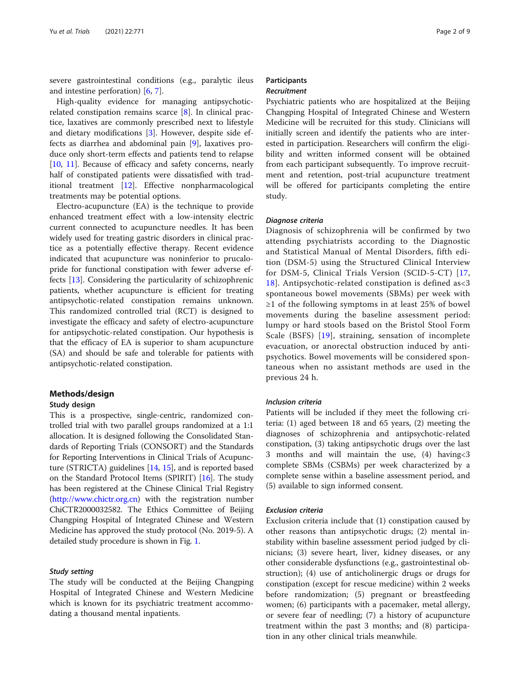severe gastrointestinal conditions (e.g., paralytic ileus and intestine perforation) [\[6](#page-8-0), [7](#page-8-0)].

High-quality evidence for managing antipsychoticrelated constipation remains scarce [\[8](#page-8-0)]. In clinical practice, laxatives are commonly prescribed next to lifestyle and dietary modifications [\[3](#page-8-0)]. However, despite side effects as diarrhea and abdominal pain [\[9](#page-8-0)], laxatives produce only short-term effects and patients tend to relapse [[10,](#page-8-0) [11\]](#page-8-0). Because of efficacy and safety concerns, nearly half of constipated patients were dissatisfied with traditional treatment [[12\]](#page-8-0). Effective nonpharmacological treatments may be potential options.

Electro-acupuncture (EA) is the technique to provide enhanced treatment effect with a low-intensity electric current connected to acupuncture needles. It has been widely used for treating gastric disorders in clinical practice as a potentially effective therapy. Recent evidence indicated that acupuncture was noninferior to prucalopride for functional constipation with fewer adverse effects [[13\]](#page-8-0). Considering the particularity of schizophrenic patients, whether acupuncture is efficient for treating antipsychotic-related constipation remains unknown. This randomized controlled trial (RCT) is designed to investigate the efficacy and safety of electro-acupuncture for antipsychotic-related constipation. Our hypothesis is that the efficacy of EA is superior to sham acupuncture (SA) and should be safe and tolerable for patients with antipsychotic-related constipation.

# Methods/design

#### Study design

This is a prospective, single-centric, randomized controlled trial with two parallel groups randomized at a 1:1 allocation. It is designed following the Consolidated Standards of Reporting Trials (CONSORT) and the Standards for Reporting Interventions in Clinical Trials of Acupuncture (STRICTA) guidelines [\[14](#page-8-0), [15\]](#page-8-0), and is reported based on the Standard Protocol Items (SPIRIT) [\[16\]](#page-8-0). The study has been registered at the Chinese Clinical Trial Registry ([http://www.chictr.org.cn\)](http://www.chictr.org.cn) with the registration number ChiCTR2000032582. The Ethics Committee of Beijing Changping Hospital of Integrated Chinese and Western Medicine has approved the study protocol (No. 2019-5). A detailed study procedure is shown in Fig. [1](#page-2-0).

# Study setting

The study will be conducted at the Beijing Changping Hospital of Integrated Chinese and Western Medicine which is known for its psychiatric treatment accommodating a thousand mental inpatients.

# **Participants** Recruitment

Psychiatric patients who are hospitalized at the Beijing Changping Hospital of Integrated Chinese and Western Medicine will be recruited for this study. Clinicians will initially screen and identify the patients who are interested in participation. Researchers will confirm the eligibility and written informed consent will be obtained from each participant subsequently. To improve recruitment and retention, post-trial acupuncture treatment will be offered for participants completing the entire study.

#### Diagnose criteria

Diagnosis of schizophrenia will be confirmed by two attending psychiatrists according to the Diagnostic and Statistical Manual of Mental Disorders, fifth edition (DSM-5) using the Structured Clinical Interview for DSM-5, Clinical Trials Version (SCID-5-CT) [\[17](#page-8-0), [18\]](#page-8-0). Antipsychotic-related constipation is defined as<3 spontaneous bowel movements (SBMs) per week with ≥1 of the following symptoms in at least 25% of bowel movements during the baseline assessment period: lumpy or hard stools based on the Bristol Stool Form Scale (BSFS) [[19](#page-8-0)], straining, sensation of incomplete evacuation, or anorectal obstruction induced by antipsychotics. Bowel movements will be considered spontaneous when no assistant methods are used in the previous 24 h.

#### Inclusion criteria

Patients will be included if they meet the following criteria: (1) aged between 18 and 65 years, (2) meeting the diagnoses of schizophrenia and antipsychotic-related constipation, (3) taking antipsychotic drugs over the last 3 months and will maintain the use, (4) having<3 complete SBMs (CSBMs) per week characterized by a complete sense within a baseline assessment period, and (5) available to sign informed consent.

#### Exclusion criteria

Exclusion criteria include that (1) constipation caused by other reasons than antipsychotic drugs; (2) mental instability within baseline assessment period judged by clinicians; (3) severe heart, liver, kidney diseases, or any other considerable dysfunctions (e.g., gastrointestinal obstruction); (4) use of anticholinergic drugs or drugs for constipation (except for rescue medicine) within 2 weeks before randomization; (5) pregnant or breastfeeding women; (6) participants with a pacemaker, metal allergy, or severe fear of needling; (7) a history of acupuncture treatment within the past 3 months; and (8) participation in any other clinical trials meanwhile.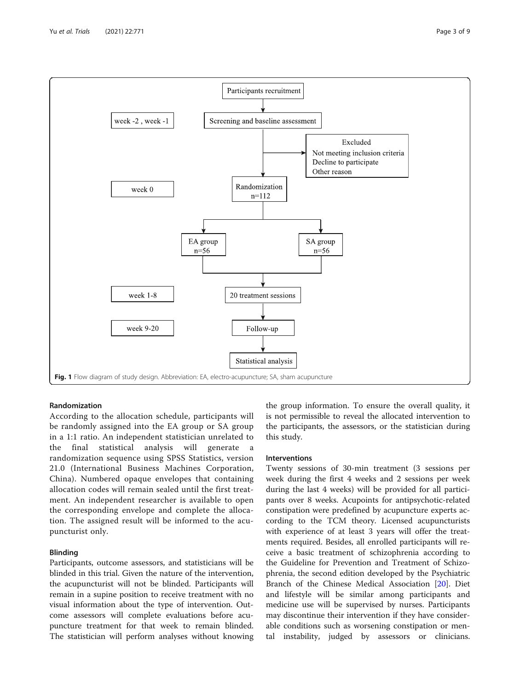<span id="page-2-0"></span>

# Randomization

According to the allocation schedule, participants will be randomly assigned into the EA group or SA group in a 1:1 ratio. An independent statistician unrelated to the final statistical analysis will generate a randomization sequence using SPSS Statistics, version 21.0 (International Business Machines Corporation, China). Numbered opaque envelopes that containing allocation codes will remain sealed until the first treatment. An independent researcher is available to open the corresponding envelope and complete the allocation. The assigned result will be informed to the acupuncturist only.

# Blinding

Participants, outcome assessors, and statisticians will be blinded in this trial. Given the nature of the intervention, the acupuncturist will not be blinded. Participants will remain in a supine position to receive treatment with no visual information about the type of intervention. Outcome assessors will complete evaluations before acupuncture treatment for that week to remain blinded. The statistician will perform analyses without knowing the group information. To ensure the overall quality, it is not permissible to reveal the allocated intervention to the participants, the assessors, or the statistician during this study.

# Interventions

Twenty sessions of 30-min treatment (3 sessions per week during the first 4 weeks and 2 sessions per week during the last 4 weeks) will be provided for all participants over 8 weeks. Acupoints for antipsychotic-related constipation were predefined by acupuncture experts according to the TCM theory. Licensed acupuncturists with experience of at least 3 years will offer the treatments required. Besides, all enrolled participants will receive a basic treatment of schizophrenia according to the Guideline for Prevention and Treatment of Schizophrenia, the second edition developed by the Psychiatric Branch of the Chinese Medical Association [[20\]](#page-8-0). Diet and lifestyle will be similar among participants and medicine use will be supervised by nurses. Participants may discontinue their intervention if they have considerable conditions such as worsening constipation or mental instability, judged by assessors or clinicians.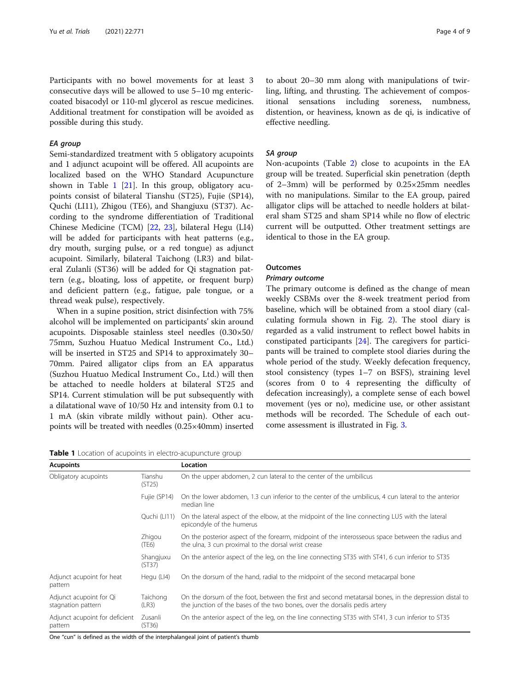Participants with no bowel movements for at least 3 consecutive days will be allowed to use 5–10 mg entericcoated bisacodyl or 110-ml glycerol as rescue medicines. Additional treatment for constipation will be avoided as possible during this study.

# EA group

Semi-standardized treatment with 5 obligatory acupoints and 1 adjunct acupoint will be offered. All acupoints are localized based on the WHO Standard Acupuncture shown in Table 1 [\[21](#page-8-0)]. In this group, obligatory acupoints consist of bilateral Tianshu (ST25), Fujie (SP14), Quchi (LI11), Zhigou (TE6), and Shangjuxu (ST37). According to the syndrome differentiation of Traditional Chinese Medicine (TCM) [[22,](#page-8-0) [23\]](#page-8-0), bilateral Hegu (LI4) will be added for participants with heat patterns (e.g., dry mouth, surging pulse, or a red tongue) as adjunct acupoint. Similarly, bilateral Taichong (LR3) and bilateral Zulanli (ST36) will be added for Qi stagnation pattern (e.g., bloating, loss of appetite, or frequent burp) and deficient pattern (e.g., fatigue, pale tongue, or a thread weak pulse), respectively.

When in a supine position, strict disinfection with 75% alcohol will be implemented on participants' skin around acupoints. Disposable stainless steel needles (0.30×50/ 75mm, Suzhou Huatuo Medical Instrument Co., Ltd.) will be inserted in ST25 and SP14 to approximately 30– 70mm. Paired alligator clips from an EA apparatus (Suzhou Huatuo Medical Instrument Co., Ltd.) will then be attached to needle holders at bilateral ST25 and SP14. Current stimulation will be put subsequently with a dilatational wave of 10/50 Hz and intensity from 0.1 to 1 mA (skin vibrate mildly without pain). Other acupoints will be treated with needles (0.25×40mm) inserted

Table 1 Location of acupoints in electro-acupuncture group

Acupoints Location

| Obligatory acupoints                                                              | Tianshu<br>(ST25)   | On the upper abdomen, 2 cun lateral to the center of the umbilicus                                                                                                                  |
|-----------------------------------------------------------------------------------|---------------------|-------------------------------------------------------------------------------------------------------------------------------------------------------------------------------------|
|                                                                                   | Fujie (SP14)        | On the lower abdomen, 1.3 cun inferior to the center of the umbilicus, 4 cun lateral to the anterior<br>median line                                                                 |
|                                                                                   | Quchi (LI11)        | On the lateral aspect of the elbow, at the midpoint of the line connecting LU5 with the lateral<br>epicondyle of the humerus                                                        |
|                                                                                   | Zhigou<br>(TE6)     | On the posterior aspect of the forearm, midpoint of the interosseous space between the radius and<br>the ulna, 3 cun proximal to the dorsal wrist crease                            |
|                                                                                   | Shangjuxu<br>(ST37) | On the anterior aspect of the leg, on the line connecting ST35 with ST41, 6 cun inferior to ST35                                                                                    |
| Adjunct acupoint for heat<br>pattern                                              | Hegu (LI4)          | On the dorsum of the hand, radial to the midpoint of the second metacarpal bone                                                                                                     |
| Adjunct acupoint for Qi<br>stagnation pattern                                     | Taichong<br>(LR3)   | On the dorsum of the foot, between the first and second metatarsal bones, in the depression distal to<br>the junction of the bases of the two bones, over the dorsalis pedis artery |
| Adjunct acupoint for deficient<br>pattern                                         | Zusanli<br>(ST36)   | On the anterior aspect of the leg, on the line connecting ST35 with ST41, 3 cun inferior to ST35                                                                                    |
| One "cun" is defined as the width of the internhalangeal ioint of nationt's thumh |                     |                                                                                                                                                                                     |

One "cun" is defined as the width of the interphalangeal joint of patient's thumb

to about 20–30 mm along with manipulations of twirling, lifting, and thrusting. The achievement of compositional sensations including soreness, numbness, distention, or heaviness, known as de qi, is indicative of effective needling.

#### SA group

Non-acupoints (Table [2](#page-4-0)) close to acupoints in the EA group will be treated. Superficial skin penetration (depth of 2–3mm) will be performed by 0.25×25mm needles with no manipulations. Similar to the EA group, paired alligator clips will be attached to needle holders at bilateral sham ST25 and sham SP14 while no flow of electric current will be outputted. Other treatment settings are identical to those in the EA group.

# **Outcomes**

#### Primary outcome

The primary outcome is defined as the change of mean weekly CSBMs over the 8-week treatment period from baseline, which will be obtained from a stool diary (calculating formula shown in Fig. [2\)](#page-4-0). The stool diary is regarded as a valid instrument to reflect bowel habits in constipated participants [\[24](#page-8-0)]. The caregivers for participants will be trained to complete stool diaries during the whole period of the study. Weekly defecation frequency, stool consistency (types 1–7 on BSFS), straining level (scores from 0 to 4 representing the difficulty of defecation increasingly), a complete sense of each bowel movement (yes or no), medicine use, or other assistant methods will be recorded. The Schedule of each outcome assessment is illustrated in Fig. [3](#page-5-0).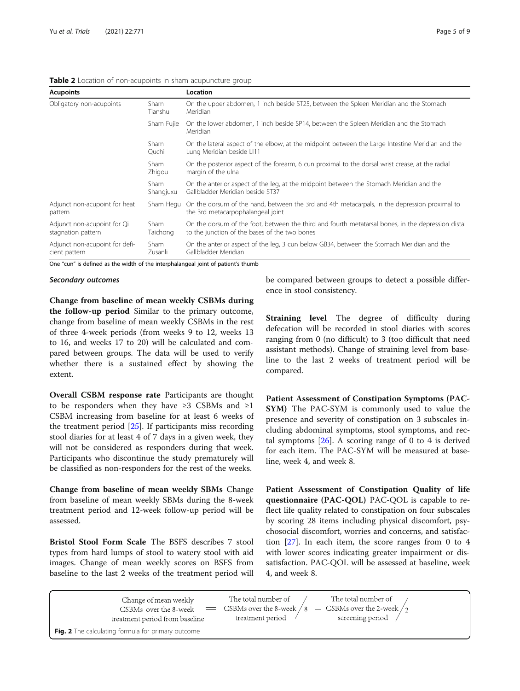<span id="page-4-0"></span>

| <b>Acupoints</b>                                  |                   | Location                                                                                                                                            |
|---------------------------------------------------|-------------------|-----------------------------------------------------------------------------------------------------------------------------------------------------|
| Obligatory non-acupoints                          | Sham<br>Tianshu   | On the upper abdomen, 1 inch beside ST25, between the Spleen Meridian and the Stomach<br>Meridian                                                   |
|                                                   | Sham Fujie        | On the lower abdomen, 1 inch beside SP14, between the Spleen Meridian and the Stomach<br>Meridian                                                   |
|                                                   | Sham<br>Quchi     | On the lateral aspect of the elbow, at the midpoint between the Large Intestine Meridian and the<br>Lung Meridian beside LI11                       |
|                                                   | Sham<br>Zhigou    | On the posterior aspect of the forearm, 6 cun proximal to the dorsal wrist crease, at the radial<br>margin of the ulna                              |
|                                                   | Sham<br>Shangjuxu | On the anterior aspect of the leg, at the midpoint between the Stomach Meridian and the<br>Gallbladder Meridian beside ST37                         |
| Adjunct non-acupoint for heat<br>pattern          | Sham Hegu         | On the dorsum of the hand, between the 3rd and 4th metacarpals, in the depression proximal to<br>the 3rd metacarpophalangeal joint                  |
| Adjunct non-acupoint for Qi<br>stagnation pattern | Sham<br>Taichong  | On the dorsum of the foot, between the third and fourth metatarsal bones, in the depression distal<br>to the junction of the bases of the two bones |
| Adjunct non-acupoint for defi-<br>cient pattern   | Sham<br>Zusanli   | On the anterior aspect of the leg, 3 cun below GB34, between the Stomach Meridian and the<br>Gallbladder Meridian                                   |

One "cun" is defined as the width of the interphalangeal joint of patient's thumb

#### Secondary outcomes

Change from baseline of mean weekly CSBMs during the follow-up period Similar to the primary outcome, change from baseline of mean weekly CSBMs in the rest of three 4-week periods (from weeks 9 to 12, weeks 13 to 16, and weeks 17 to 20) will be calculated and compared between groups. The data will be used to verify whether there is a sustained effect by showing the extent.

Overall CSBM response rate Participants are thought to be responders when they have  $\geq 3$  CSBMs and  $\geq 1$ CSBM increasing from baseline for at least 6 weeks of the treatment period [[25](#page-8-0)]. If participants miss recording stool diaries for at least 4 of 7 days in a given week, they will not be considered as responders during that week. Participants who discontinue the study prematurely will be classified as non-responders for the rest of the weeks.

Change from baseline of mean weekly SBMs Change from baseline of mean weekly SBMs during the 8-week treatment period and 12-week follow-up period will be assessed.

Bristol Stool Form Scale The BSFS describes 7 stool types from hard lumps of stool to watery stool with aid images. Change of mean weekly scores on BSFS from baseline to the last 2 weeks of the treatment period will be compared between groups to detect a possible difference in stool consistency.

Straining level The degree of difficulty during defecation will be recorded in stool diaries with scores ranging from 0 (no difficult) to 3 (too difficult that need assistant methods). Change of straining level from baseline to the last 2 weeks of treatment period will be compared.

Patient Assessment of Constipation Symptoms (PAC-SYM) The PAC-SYM is commonly used to value the presence and severity of constipation on 3 subscales including abdominal symptoms, stool symptoms, and rectal symptoms  $[26]$  $[26]$ . A scoring range of 0 to 4 is derived for each item. The PAC-SYM will be measured at baseline, week 4, and week 8.

Patient Assessment of Constipation Quality of life questionnaire (PAC-QOL) PAC-QOL is capable to reflect life quality related to constipation on four subscales by scoring 28 items including physical discomfort, psychosocial discomfort, worries and concerns, and satisfaction [[27\]](#page-8-0). In each item, the score ranges from 0 to 4 with lower scores indicating greater impairment or dissatisfaction. PAC-QOL will be assessed at baseline, week 4, and week 8.

| Change of mean weekly<br>CSBMs over the 8-week<br>treatment period from baseline | The total number of<br>treatment period / | The total number of<br>$\equiv$ CSBMs over the 8-week / 8 $-$ CSBMs over the 2-week / 2<br>screening period |
|----------------------------------------------------------------------------------|-------------------------------------------|-------------------------------------------------------------------------------------------------------------|
| Fig. 2 The calculating formula for primary outcome                               |                                           |                                                                                                             |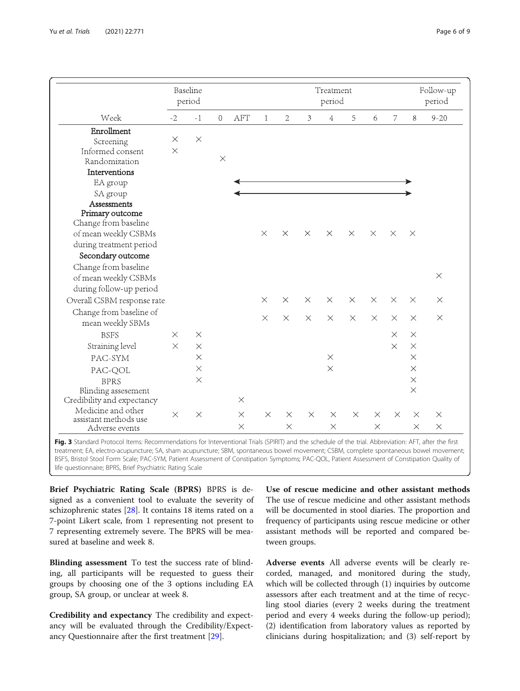<span id="page-5-0"></span>

|                            |          | Baseline<br>period | Treatment<br>period |          |              |                |          |                |          |          | Follow-up<br>period |          |          |
|----------------------------|----------|--------------------|---------------------|----------|--------------|----------------|----------|----------------|----------|----------|---------------------|----------|----------|
| Week                       | $-2$     | $-1$               | $\overline{0}$      | AFT      | $\mathbf{1}$ | $\overline{2}$ | 3        | $\overline{4}$ | 5        | 6        | 7                   | $8\,$    | $9 - 20$ |
| Enrollment                 |          |                    |                     |          |              |                |          |                |          |          |                     |          |          |
| Screening                  | $\times$ | $\times$           |                     |          |              |                |          |                |          |          |                     |          |          |
| Informed consent           | $\times$ |                    |                     |          |              |                |          |                |          |          |                     |          |          |
| Randomization              |          |                    | $\times$            |          |              |                |          |                |          |          |                     |          |          |
| Interventions              |          |                    |                     |          |              |                |          |                |          |          |                     |          |          |
| EA group                   |          |                    |                     |          |              |                |          |                |          |          |                     |          |          |
| SA group                   |          |                    |                     |          |              |                |          |                |          |          |                     |          |          |
| Assessments                |          |                    |                     |          |              |                |          |                |          |          |                     |          |          |
| Primary outcome            |          |                    |                     |          |              |                |          |                |          |          |                     |          |          |
| Change from baseline       |          |                    |                     |          |              |                |          |                |          |          |                     |          |          |
| of mean weekly CSBMs       |          |                    |                     |          | $\times$     | $\times$       | $\times$ | $\times$       | $\times$ | $\times$ | $\times$            | $\times$ |          |
| during treatment period    |          |                    |                     |          |              |                |          |                |          |          |                     |          |          |
| Secondary outcome          |          |                    |                     |          |              |                |          |                |          |          |                     |          |          |
| Change from baseline       |          |                    |                     |          |              |                |          |                |          |          |                     |          |          |
| of mean weekly CSBMs       |          |                    |                     |          |              |                |          |                |          |          |                     |          | $\times$ |
| during follow-up period    |          |                    |                     |          |              |                |          |                |          |          |                     |          |          |
| Overall CSBM response rate |          |                    |                     |          | $\times$     | $\times$       | $\times$ | $\times$       | $\times$ | $\times$ | $\times$            | $\times$ | $\times$ |
| Change from baseline of    |          |                    |                     |          |              |                |          |                |          |          |                     |          |          |
| mean weekly SBMs           |          |                    |                     |          | $\times$     | $\times$       | $\times$ | $\times$       | $\times$ | $\times$ | $\times$            | $\times$ | $\times$ |
| <b>BSFS</b>                | $\times$ | $\times$           |                     |          |              |                |          |                |          |          | $\times$            | $\times$ |          |
| Straining level            | $\times$ | $\times$           |                     |          |              |                |          |                |          |          | $\times$            | $\times$ |          |
| PAC-SYM                    |          | $\times$           |                     |          |              |                |          | $\times$       |          |          |                     | $\times$ |          |
| PAC-QOL                    |          | $\times$           |                     |          |              |                |          | $\times$       |          |          |                     | $\times$ |          |
| <b>BPRS</b>                |          | $\times$           |                     |          |              |                |          |                |          |          |                     | $\times$ |          |
| Blinding assesement        |          |                    |                     |          |              |                |          |                |          |          |                     | $\times$ |          |
| Credibility and expectancy |          |                    |                     | $\times$ |              |                |          |                |          |          |                     |          |          |
| Medicine and other         |          |                    |                     |          | $\times$     |                | $\times$ |                | $\times$ | $\times$ | $\times$            |          |          |
| assistant methods use      | $\times$ | $\times$           |                     | $\times$ |              | $\times$       |          | $\times$       |          |          |                     | $\times$ | $\times$ |
| Adverse events             |          |                    |                     | $\times$ |              | $\times$       |          | $\times$       |          | $\times$ |                     | $\times$ | $\times$ |

Fig. 3 Standard Protocol Items: Recommendations for Interventional Trials (SPIRIT) and the schedule of the trial. Abbreviation: AFT, after the first treatment; EA, electro-acupuncture; SA, sham acupuncture; SBM, spontaneous bowel movement; CSBM, complete spontaneous bowel movement; BSFS, Bristol Stool Form Scale; PAC-SYM, Patient Assessment of Constipation Symptoms; PAC-QOL, Patient Assessment of Constipation Quality of life questionnaire; BPRS, Brief Psychiatric Rating Scale

Brief Psychiatric Rating Scale (BPRS) BPRS is designed as a convenient tool to evaluate the severity of schizophrenic states [\[28](#page-8-0)]. It contains 18 items rated on a 7-point Likert scale, from 1 representing not present to 7 representing extremely severe. The BPRS will be measured at baseline and week 8.

Blinding assessment To test the success rate of blinding, all participants will be requested to guess their groups by choosing one of the 3 options including EA group, SA group, or unclear at week 8.

Credibility and expectancy The credibility and expectancy will be evaluated through the Credibility/Expectancy Questionnaire after the first treatment [\[29](#page-8-0)].

Use of rescue medicine and other assistant methods The use of rescue medicine and other assistant methods will be documented in stool diaries. The proportion and frequency of participants using rescue medicine or other assistant methods will be reported and compared between groups.

Adverse events All adverse events will be clearly recorded, managed, and monitored during the study, which will be collected through (1) inquiries by outcome assessors after each treatment and at the time of recycling stool diaries (every 2 weeks during the treatment period and every 4 weeks during the follow-up period); (2) identification from laboratory values as reported by clinicians during hospitalization; and (3) self-report by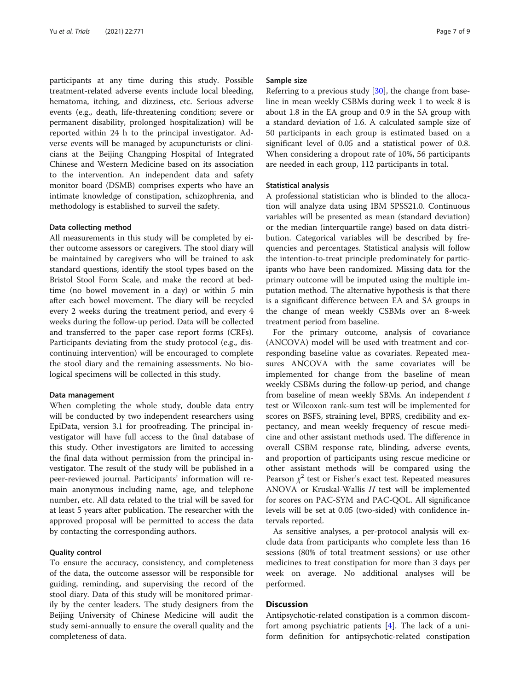participants at any time during this study. Possible treatment-related adverse events include local bleeding, hematoma, itching, and dizziness, etc. Serious adverse events (e.g., death, life-threatening condition; severe or permanent disability, prolonged hospitalization) will be reported within 24 h to the principal investigator. Adverse events will be managed by acupuncturists or clinicians at the Beijing Changping Hospital of Integrated Chinese and Western Medicine based on its association to the intervention. An independent data and safety monitor board (DSMB) comprises experts who have an intimate knowledge of constipation, schizophrenia, and methodology is established to surveil the safety.

#### Data collecting method

All measurements in this study will be completed by either outcome assessors or caregivers. The stool diary will be maintained by caregivers who will be trained to ask standard questions, identify the stool types based on the Bristol Stool Form Scale, and make the record at bedtime (no bowel movement in a day) or within 5 min after each bowel movement. The diary will be recycled every 2 weeks during the treatment period, and every 4 weeks during the follow-up period. Data will be collected and transferred to the paper case report forms (CRFs). Participants deviating from the study protocol (e.g., discontinuing intervention) will be encouraged to complete the stool diary and the remaining assessments. No biological specimens will be collected in this study.

#### Data management

When completing the whole study, double data entry will be conducted by two independent researchers using EpiData, version 3.1 for proofreading. The principal investigator will have full access to the final database of this study. Other investigators are limited to accessing the final data without permission from the principal investigator. The result of the study will be published in a peer-reviewed journal. Participants' information will remain anonymous including name, age, and telephone number, etc. All data related to the trial will be saved for at least 5 years after publication. The researcher with the approved proposal will be permitted to access the data by contacting the corresponding authors.

# Quality control

To ensure the accuracy, consistency, and completeness of the data, the outcome assessor will be responsible for guiding, reminding, and supervising the record of the stool diary. Data of this study will be monitored primarily by the center leaders. The study designers from the Beijing University of Chinese Medicine will audit the study semi-annually to ensure the overall quality and the completeness of data.

#### Sample size

Referring to a previous study [\[30](#page-8-0)], the change from baseline in mean weekly CSBMs during week 1 to week 8 is about 1.8 in the EA group and 0.9 in the SA group with a standard deviation of 1.6. A calculated sample size of 50 participants in each group is estimated based on a significant level of 0.05 and a statistical power of 0.8. When considering a dropout rate of 10%, 56 participants are needed in each group, 112 participants in total.

#### Statistical analysis

A professional statistician who is blinded to the allocation will analyze data using IBM SPSS21.0. Continuous variables will be presented as mean (standard deviation) or the median (interquartile range) based on data distribution. Categorical variables will be described by frequencies and percentages. Statistical analysis will follow the intention-to-treat principle predominately for participants who have been randomized. Missing data for the primary outcome will be imputed using the multiple imputation method. The alternative hypothesis is that there is a significant difference between EA and SA groups in the change of mean weekly CSBMs over an 8-week treatment period from baseline.

For the primary outcome, analysis of covariance (ANCOVA) model will be used with treatment and corresponding baseline value as covariates. Repeated measures ANCOVA with the same covariates will be implemented for change from the baseline of mean weekly CSBMs during the follow-up period, and change from baseline of mean weekly SBMs. An independent  $t$ test or Wilcoxon rank-sum test will be implemented for scores on BSFS, straining level, BPRS, credibility and expectancy, and mean weekly frequency of rescue medicine and other assistant methods used. The difference in overall CSBM response rate, blinding, adverse events, and proportion of participants using rescue medicine or other assistant methods will be compared using the Pearson  $\chi^2$  test or Fisher's exact test. Repeated measures ANOVA or Kruskal-Wallis  $H$  test will be implemented for scores on PAC-SYM and PAC-QOL. All significance levels will be set at 0.05 (two-sided) with confidence intervals reported.

As sensitive analyses, a per-protocol analysis will exclude data from participants who complete less than 16 sessions (80% of total treatment sessions) or use other medicines to treat constipation for more than 3 days per week on average. No additional analyses will be performed.

# Discussion

Antipsychotic-related constipation is a common discomfort among psychiatric patients [\[4](#page-8-0)]. The lack of a uniform definition for antipsychotic-related constipation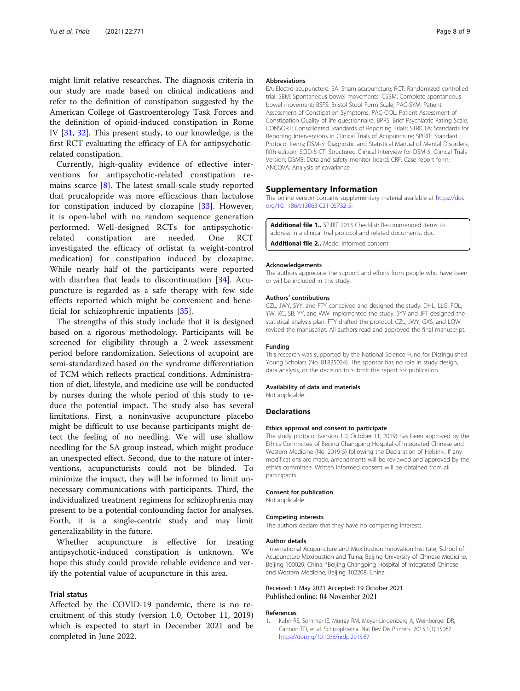<span id="page-7-0"></span>might limit relative researches. The diagnosis criteria in our study are made based on clinical indications and refer to the definition of constipation suggested by the American College of Gastroenterology Task Forces and the definition of opioid-induced constipation in Rome IV [\[31](#page-8-0), [32](#page-8-0)]. This present study, to our knowledge, is the first RCT evaluating the efficacy of EA for antipsychoticrelated constipation.

Currently, high-quality evidence of effective interventions for antipsychotic-related constipation remains scarce  $[8]$  $[8]$ . The latest small-scale study reported that prucalopride was more efficacious than lactulose for constipation induced by clozapine [[33\]](#page-8-0). However, it is open-label with no random sequence generation performed. Well-designed RCTs for antipsychoticrelated constipation are needed. One RCT investigated the efficacy of orlistat (a weight-control medication) for constipation induced by clozapine. While nearly half of the participants were reported with diarrhea that leads to discontinuation [[34](#page-8-0)]. Acupuncture is regarded as a safe therapy with few side effects reported which might be convenient and beneficial for schizophrenic inpatients [[35](#page-8-0)].

The strengths of this study include that it is designed based on a rigorous methodology. Participants will be screened for eligibility through a 2-week assessment period before randomization. Selections of acupoint are semi-standardized based on the syndrome differentiation of TCM which reflects practical conditions. Administration of diet, lifestyle, and medicine use will be conducted by nurses during the whole period of this study to reduce the potential impact. The study also has several limitations. First, a noninvasive acupuncture placebo might be difficult to use because participants might detect the feeling of no needling. We will use shallow needling for the SA group instead, which might produce an unexpected effect. Second, due to the nature of interventions, acupuncturists could not be blinded. To minimize the impact, they will be informed to limit unnecessary communications with participants. Third, the individualized treatment regimens for schizophrenia may present to be a potential confounding factor for analyses. Forth, it is a single-centric study and may limit generalizability in the future.

Whether acupuncture is effective for treating antipsychotic-induced constipation is unknown. We hope this study could provide reliable evidence and verify the potential value of acupuncture in this area.

# Trial status

Affected by the COVID-19 pandemic, there is no recruitment of this study (version 1.0, October 11, 2019) which is expected to start in December 2021 and be completed in June 2022.

#### Abbreviations

EA: Electro-acupuncture; SA: Sham acupuncture; RCT: Randomized controlled trial; SBM: Spontaneous bowel movements; CSBM: Complete spontaneous bowel movement; BSFS: Bristol Stool Form Scale; PAC-SYM: Patient Assessment of Constipation Symptoms; PAC-QOL: Patient Assessment of Constipation Quality of life questionnaire; BPRS: Brief Psychiatric Rating Scale; CONSORT: Consolidated Standards of Reporting Trials; STRICTA: Standards for Reporting Interventions in Clinical Trials of Acupuncture; SPIRIT: Standard Protocol Items; DSM-5: Diagnostic and Statistical Manual of Mental Disorders, fifth edition; SCID-5-CT: Structured Clinical Interview for DSM-5, Clinical Trials Version; DSMB: Data and safety monitor board; CRF: Case report form; ANCOVA: Analysis of covariance

#### Supplementary Information

The online version contains supplementary material available at [https://doi.](https://doi.org/10.1186/s13063-021-05732-5) [org/10.1186/s13063-021-05732-5.](https://doi.org/10.1186/s13063-021-05732-5)

Additional file 1.. SPIRIT 2013 Checklist: Recommended items to address in a clinical trial protocol and related documents. doc. Additional file 2.. Model informed consent.

#### Acknowledgements

The authors appreciate the support and efforts from people who have been or will be included in this study.

#### Authors' contributions

CZL, JWY, SYY, and FTY conceived and designed the study. DHL, LLG, FQL, YW, XC, SB, YY, and WW implemented the study. SYY and JFT designed the statistical analysis plan. FTY drafted the protocol. CZL, JWY, GXS, and LQW revised the manuscript. All authors read and approved the final manuscript.

#### Funding

This research was supported by the National Science Fund for Distinguished Young Scholars (No: 81825024). The sponsor has no role in study design, data analysis, or the decision to submit the report for publication.

# Availability of data and materials

Not applicable.

#### Declarations

#### Ethics approval and consent to participate

The study protocol (version 1.0, October 11, 2019) has been approved by the Ethics Committee of Beijing Changping Hospital of Integrated Chinese and Western Medicine (No. 2019-5) following the Declaration of Helsinki. If any modifications are made, amendments will be reviewed and approved by the ethics committee. Written informed consent will be obtained from all participants.

#### Consent for publication

Not applicable.

#### Competing interests

The authors declare that they have no competing interests.

#### Author details

<sup>1</sup>International Acupuncture and Moxibustion Innovation Institute, School of Acupuncture-Moxibustion and Tuina, Beijing University of Chinese Medicine, Beijing 100029, China. <sup>2</sup>Beijing Changping Hospital of Integrated Chinese and Western Medicine, Beijing 102208, China.

#### Received: 1 May 2021 Accepted: 19 October 2021 Published online: 04 November 2021

#### References

Kahn RS, Sommer IE, Murray RM, Meyer-Lindenberg A, Weinberger DR, Cannon TD, et al. Schizophrenia. Nat Rev Dis Primers. 2015;1(1):15067. <https://doi.org/10.1038/nrdp.2015.67>.